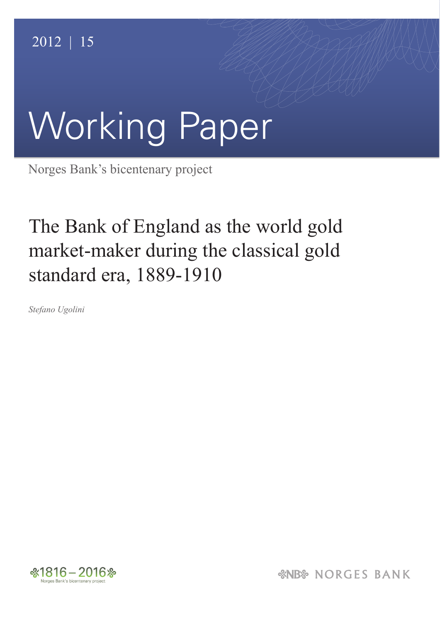# Working Paper

Norges Bank's bicentenary project

## The Bank of England as the world gold market-maker during the classical gold standard era, 1889-1910

*Stefano Ugolini*



*&NB& NORGES BANK*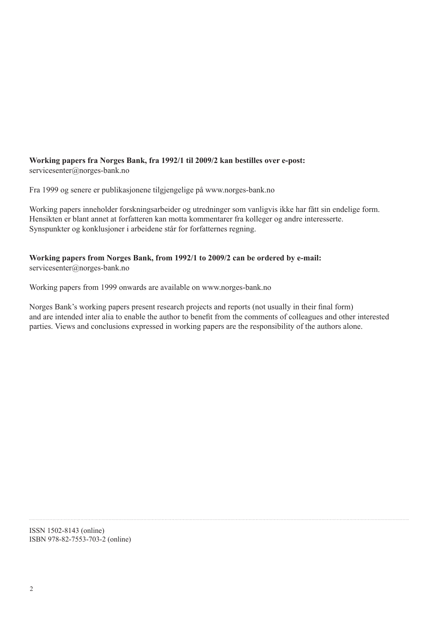#### **Working papers fra Norges Bank, fra 1992/1 til 2009/2 kan bestilles over e-post:** servicesenter@norges-bank.no

Fra 1999 og senere er publikasjonene tilgjengelige på www.norges-bank.no

Working papers inneholder forskningsarbeider og utredninger som vanligvis ikke har fått sin endelige form. Hensikten er blant annet at forfatteren kan motta kommentarer fra kolleger og andre interesserte. Synspunkter og konklusjoner i arbeidene står for forfatternes regning.

#### **Working papers from Norges Bank, from 1992/1 to 2009/2 can be ordered by e-mail:** servicesenter@norges-bank.no

Working papers from 1999 onwards are available on www.norges-bank.no

Norges Bank's working papers present research projects and reports (not usually in their final form) and are intended inter alia to enable the author to benefit from the comments of colleagues and other interested parties. Views and conclusions expressed in working papers are the responsibility of the authors alone.

ISSN 1502-8143 (online) ISBN 978-82-7553-703-2 (online)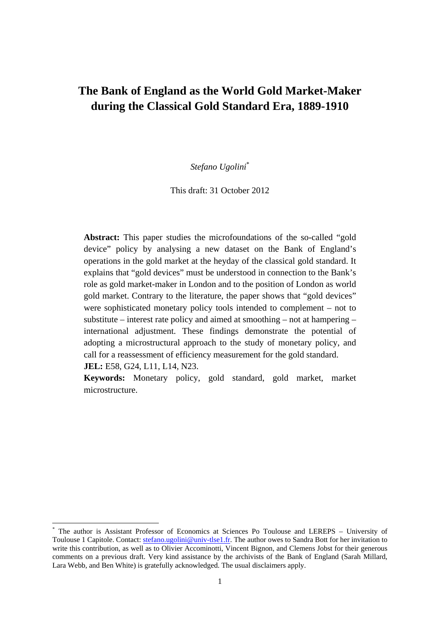### **The Bank of England as the World Gold Market-Maker during the Classical Gold Standard Era, 1889-1910**

*Stefano Ugolini*\*

This draft: 31 October 2012

**Abstract:** This paper studies the microfoundations of the so-called "gold device" policy by analysing a new dataset on the Bank of England's operations in the gold market at the heyday of the classical gold standard. It explains that "gold devices" must be understood in connection to the Bank's role as gold market-maker in London and to the position of London as world gold market. Contrary to the literature, the paper shows that "gold devices" were sophisticated monetary policy tools intended to complement – not to substitute – interest rate policy and aimed at smoothing – not at hampering – international adjustment. These findings demonstrate the potential of adopting a microstructural approach to the study of monetary policy, and call for a reassessment of efficiency measurement for the gold standard. **JEL:** E58, G24, L11, L14, N23.

**Keywords:** Monetary policy, gold standard, gold market, market microstructure.

<sup>\*</sup> The author is Assistant Professor of Economics at Sciences Po Toulouse and LEREPS – University of Toulouse 1 Capitole. Contact: stefano.ugolini@univ-tlse1.fr. The author owes to Sandra Bott for her invitation to write this contribution, as well as to Olivier Accominotti, Vincent Bignon, and Clemens Jobst for their generous comments on a previous draft. Very kind assistance by the archivists of the Bank of England (Sarah Millard, Lara Webb, and Ben White) is gratefully acknowledged. The usual disclaimers apply.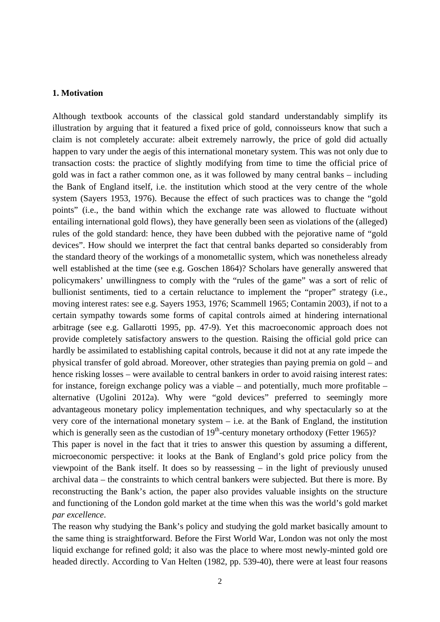#### **1. Motivation**

Although textbook accounts of the classical gold standard understandably simplify its illustration by arguing that it featured a fixed price of gold, connoisseurs know that such a claim is not completely accurate: albeit extremely narrowly, the price of gold did actually happen to vary under the aegis of this international monetary system. This was not only due to transaction costs: the practice of slightly modifying from time to time the official price of gold was in fact a rather common one, as it was followed by many central banks – including the Bank of England itself, i.e. the institution which stood at the very centre of the whole system (Sayers 1953, 1976). Because the effect of such practices was to change the "gold points" (i.e., the band within which the exchange rate was allowed to fluctuate without entailing international gold flows), they have generally been seen as violations of the (alleged) rules of the gold standard: hence, they have been dubbed with the pejorative name of "gold devices". How should we interpret the fact that central banks departed so considerably from the standard theory of the workings of a monometallic system, which was nonetheless already well established at the time (see e.g. Goschen 1864)? Scholars have generally answered that policymakers' unwillingness to comply with the "rules of the game" was a sort of relic of bullionist sentiments, tied to a certain reluctance to implement the "proper" strategy (i.e., moving interest rates: see e.g. Sayers 1953, 1976; Scammell 1965; Contamin 2003), if not to a certain sympathy towards some forms of capital controls aimed at hindering international arbitrage (see e.g. Gallarotti 1995, pp. 47-9). Yet this macroeconomic approach does not provide completely satisfactory answers to the question. Raising the official gold price can hardly be assimilated to establishing capital controls, because it did not at any rate impede the physical transfer of gold abroad. Moreover, other strategies than paying premia on gold – and hence risking losses – were available to central bankers in order to avoid raising interest rates: for instance, foreign exchange policy was a viable – and potentially, much more profitable – alternative (Ugolini 2012a). Why were "gold devices" preferred to seemingly more advantageous monetary policy implementation techniques, and why spectacularly so at the very core of the international monetary system – i.e. at the Bank of England, the institution which is generally seen as the custodian of  $19<sup>th</sup>$ -century monetary orthodoxy (Fetter 1965)?

This paper is novel in the fact that it tries to answer this question by assuming a different, microeconomic perspective: it looks at the Bank of England's gold price policy from the viewpoint of the Bank itself. It does so by reassessing – in the light of previously unused archival data – the constraints to which central bankers were subjected. But there is more. By reconstructing the Bank's action, the paper also provides valuable insights on the structure and functioning of the London gold market at the time when this was the world's gold market *par excellence*.

The reason why studying the Bank's policy and studying the gold market basically amount to the same thing is straightforward. Before the First World War, London was not only the most liquid exchange for refined gold; it also was the place to where most newly-minted gold ore headed directly. According to Van Helten (1982, pp. 539-40), there were at least four reasons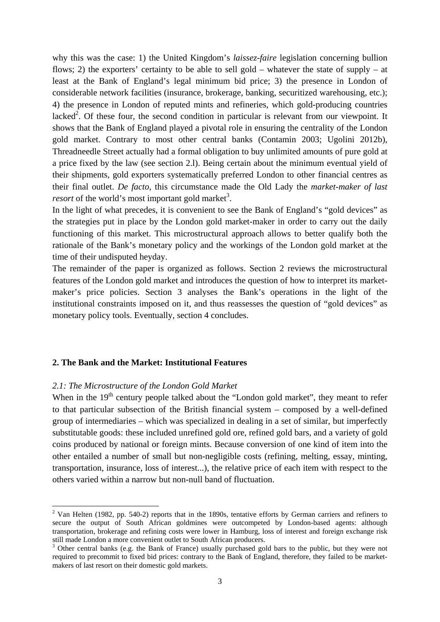why this was the case: 1) the United Kingdom's *laissez-faire* legislation concerning bullion flows; 2) the exporters' certainty to be able to sell gold – whatever the state of supply – at least at the Bank of England's legal minimum bid price; 3) the presence in London of considerable network facilities (insurance, brokerage, banking, securitized warehousing, etc.); 4) the presence in London of reputed mints and refineries, which gold-producing countries lacked<sup>2</sup>. Of these four, the second condition in particular is relevant from our viewpoint. It shows that the Bank of England played a pivotal role in ensuring the centrality of the London gold market. Contrary to most other central banks (Contamin 2003; Ugolini 2012b), Threadneedle Street actually had a formal obligation to buy unlimited amounts of pure gold at a price fixed by the law (see section 2.l). Being certain about the minimum eventual yield of their shipments, gold exporters systematically preferred London to other financial centres as their final outlet. *De facto*, this circumstance made the Old Lady the *market-maker of last resort* of the world's most important gold market<sup>3</sup>.

In the light of what precedes, it is convenient to see the Bank of England's "gold devices" as the strategies put in place by the London gold market-maker in order to carry out the daily functioning of this market. This microstructural approach allows to better qualify both the rationale of the Bank's monetary policy and the workings of the London gold market at the time of their undisputed heyday.

The remainder of the paper is organized as follows. Section 2 reviews the microstructural features of the London gold market and introduces the question of how to interpret its marketmaker's price policies. Section 3 analyses the Bank's operations in the light of the institutional constraints imposed on it, and thus reassesses the question of "gold devices" as monetary policy tools. Eventually, section 4 concludes.

#### **2. The Bank and the Market: Institutional Features**

#### *2.1: The Microstructure of the London Gold Market*

When in the 19<sup>th</sup> century people talked about the "London gold market", they meant to refer to that particular subsection of the British financial system – composed by a well-defined group of intermediaries – which was specialized in dealing in a set of similar, but imperfectly substitutable goods: these included unrefined gold ore, refined gold bars, and a variety of gold coins produced by national or foreign mints. Because conversion of one kind of item into the other entailed a number of small but non-negligible costs (refining, melting, essay, minting, transportation, insurance, loss of interest...), the relative price of each item with respect to the others varied within a narrow but non-null band of fluctuation.

 $2$  Van Helten (1982, pp. 540-2) reports that in the 1890s, tentative efforts by German carriers and refiners to secure the output of South African goldmines were outcompeted by London-based agents: although transportation, brokerage and refining costs were lower in Hamburg, loss of interest and foreign exchange risk still made London a more convenient outlet to South African producers.

<sup>&</sup>lt;sup>3</sup> Other central banks (e.g. the Bank of France) usually purchased gold bars to the public, but they were not required to precommit to fixed bid prices: contrary to the Bank of England, therefore, they failed to be marketmakers of last resort on their domestic gold markets.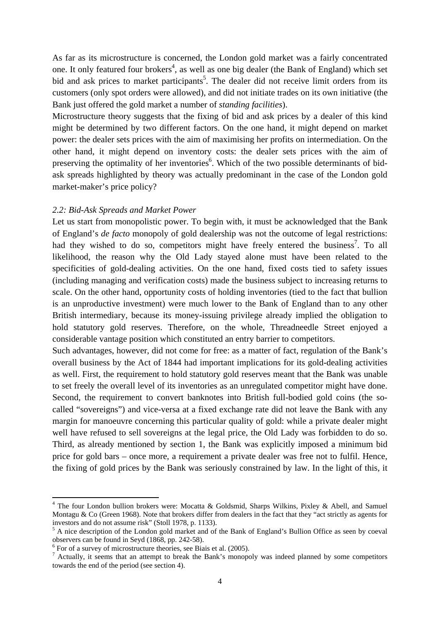As far as its microstructure is concerned, the London gold market was a fairly concentrated one. It only featured four brokers<sup>4</sup>, as well as one big dealer (the Bank of England) which set bid and ask prices to market participants<sup>5</sup>. The dealer did not receive limit orders from its customers (only spot orders were allowed), and did not initiate trades on its own initiative (the Bank just offered the gold market a number of *standing facilities*).

Microstructure theory suggests that the fixing of bid and ask prices by a dealer of this kind might be determined by two different factors. On the one hand, it might depend on market power: the dealer sets prices with the aim of maximising her profits on intermediation. On the other hand, it might depend on inventory costs: the dealer sets prices with the aim of preserving the optimality of her inventories<sup>6</sup>. Which of the two possible determinants of bidask spreads highlighted by theory was actually predominant in the case of the London gold market-maker's price policy?

#### *2.2: Bid-Ask Spreads and Market Power*

Let us start from monopolistic power. To begin with, it must be acknowledged that the Bank of England's *de facto* monopoly of gold dealership was not the outcome of legal restrictions: had they wished to do so, competitors might have freely entered the business<sup>7</sup>. To all likelihood, the reason why the Old Lady stayed alone must have been related to the specificities of gold-dealing activities. On the one hand, fixed costs tied to safety issues (including managing and verification costs) made the business subject to increasing returns to scale. On the other hand, opportunity costs of holding inventories (tied to the fact that bullion is an unproductive investment) were much lower to the Bank of England than to any other British intermediary, because its money-issuing privilege already implied the obligation to hold statutory gold reserves. Therefore, on the whole, Threadneedle Street enjoyed a considerable vantage position which constituted an entry barrier to competitors.

Such advantages, however, did not come for free: as a matter of fact, regulation of the Bank's overall business by the Act of 1844 had important implications for its gold-dealing activities as well. First, the requirement to hold statutory gold reserves meant that the Bank was unable to set freely the overall level of its inventories as an unregulated competitor might have done. Second, the requirement to convert banknotes into British full-bodied gold coins (the socalled "sovereigns") and vice-versa at a fixed exchange rate did not leave the Bank with any margin for manoeuvre concerning this particular quality of gold: while a private dealer might well have refused to sell sovereigns at the legal price, the Old Lady was forbidden to do so. Third, as already mentioned by section 1, the Bank was explicitly imposed a minimum bid price for gold bars – once more, a requirement a private dealer was free not to fulfil. Hence, the fixing of gold prices by the Bank was seriously constrained by law. In the light of this, it

 $4$  The four London bullion brokers were: Mocatta & Goldsmid, Sharps Wilkins, Pixley & Abell, and Samuel Montagu & Co (Green 1968). Note that brokers differ from dealers in the fact that they "act strictly as agents for investors and do not assume risk" (Stoll 1978, p. 1133).

<sup>&</sup>lt;sup>5</sup> A nice description of the London gold market and of the Bank of England's Bullion Office as seen by coeval observers can be found in Seyd (1868, pp. 242-58).

<sup>&</sup>lt;sup>6</sup> For of a survey of microstructure theories, see Biais et al. (2005).

 $^7$  Actually, it seems that an attempt to break the Bank's monopoly was indeed planned by some competitors towards the end of the period (see section 4).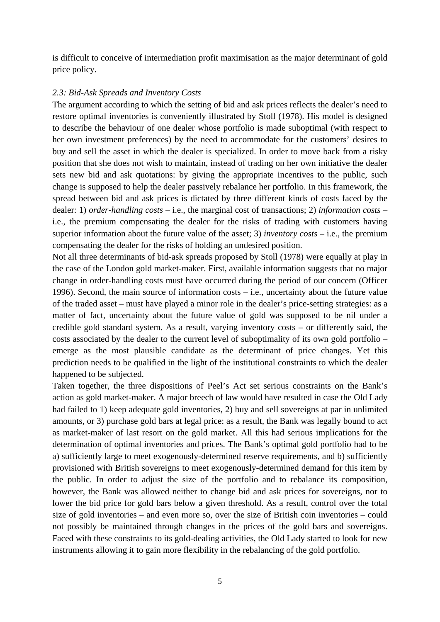is difficult to conceive of intermediation profit maximisation as the major determinant of gold price policy.

#### *2.3: Bid-Ask Spreads and Inventory Costs*

The argument according to which the setting of bid and ask prices reflects the dealer's need to restore optimal inventories is conveniently illustrated by Stoll (1978). His model is designed to describe the behaviour of one dealer whose portfolio is made suboptimal (with respect to her own investment preferences) by the need to accommodate for the customers' desires to buy and sell the asset in which the dealer is specialized. In order to move back from a risky position that she does not wish to maintain, instead of trading on her own initiative the dealer sets new bid and ask quotations: by giving the appropriate incentives to the public, such change is supposed to help the dealer passively rebalance her portfolio. In this framework, the spread between bid and ask prices is dictated by three different kinds of costs faced by the dealer: 1) *order-handling costs* – i.e., the marginal cost of transactions; 2) *information costs* – i.e., the premium compensating the dealer for the risks of trading with customers having superior information about the future value of the asset; 3) *inventory costs* – i.e., the premium compensating the dealer for the risks of holding an undesired position.

Not all three determinants of bid-ask spreads proposed by Stoll (1978) were equally at play in the case of the London gold market-maker. First, available information suggests that no major change in order-handling costs must have occurred during the period of our concern (Officer 1996). Second, the main source of information costs – i.e., uncertainty about the future value of the traded asset – must have played a minor role in the dealer's price-setting strategies: as a matter of fact, uncertainty about the future value of gold was supposed to be nil under a credible gold standard system. As a result, varying inventory costs – or differently said, the costs associated by the dealer to the current level of suboptimality of its own gold portfolio – emerge as the most plausible candidate as the determinant of price changes. Yet this prediction needs to be qualified in the light of the institutional constraints to which the dealer happened to be subjected.

Taken together, the three dispositions of Peel's Act set serious constraints on the Bank's action as gold market-maker. A major breech of law would have resulted in case the Old Lady had failed to 1) keep adequate gold inventories, 2) buy and sell sovereigns at par in unlimited amounts, or 3) purchase gold bars at legal price: as a result, the Bank was legally bound to act as market-maker of last resort on the gold market. All this had serious implications for the determination of optimal inventories and prices. The Bank's optimal gold portfolio had to be a) sufficiently large to meet exogenously-determined reserve requirements, and b) sufficiently provisioned with British sovereigns to meet exogenously-determined demand for this item by the public. In order to adjust the size of the portfolio and to rebalance its composition, however, the Bank was allowed neither to change bid and ask prices for sovereigns, nor to lower the bid price for gold bars below a given threshold. As a result, control over the total size of gold inventories – and even more so, over the size of British coin inventories – could not possibly be maintained through changes in the prices of the gold bars and sovereigns. Faced with these constraints to its gold-dealing activities, the Old Lady started to look for new instruments allowing it to gain more flexibility in the rebalancing of the gold portfolio.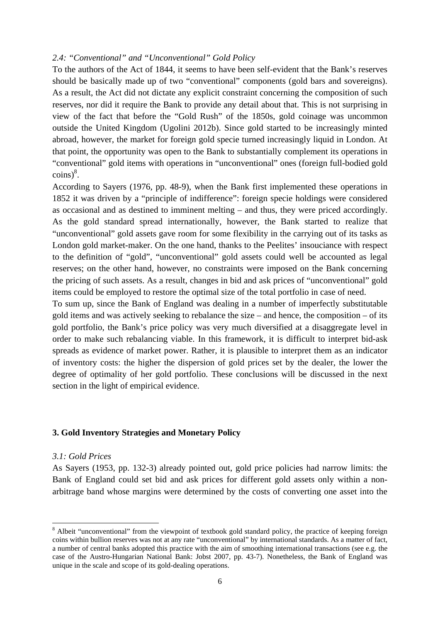#### *2.4: "Conventional" and "Unconventional" Gold Policy*

To the authors of the Act of 1844, it seems to have been self-evident that the Bank's reserves should be basically made up of two "conventional" components (gold bars and sovereigns). As a result, the Act did not dictate any explicit constraint concerning the composition of such reserves, nor did it require the Bank to provide any detail about that. This is not surprising in view of the fact that before the "Gold Rush" of the 1850s, gold coinage was uncommon outside the United Kingdom (Ugolini 2012b). Since gold started to be increasingly minted abroad, however, the market for foreign gold specie turned increasingly liquid in London. At that point, the opportunity was open to the Bank to substantially complement its operations in "conventional" gold items with operations in "unconventional" ones (foreign full-bodied gold  $\text{coins}\right)^8$ .

According to Sayers (1976, pp. 48-9), when the Bank first implemented these operations in 1852 it was driven by a "principle of indifference": foreign specie holdings were considered as occasional and as destined to imminent melting – and thus, they were priced accordingly. As the gold standard spread internationally, however, the Bank started to realize that "unconventional" gold assets gave room for some flexibility in the carrying out of its tasks as London gold market-maker. On the one hand, thanks to the Peelites' insouciance with respect to the definition of "gold", "unconventional" gold assets could well be accounted as legal reserves; on the other hand, however, no constraints were imposed on the Bank concerning the pricing of such assets. As a result, changes in bid and ask prices of "unconventional" gold items could be employed to restore the optimal size of the total portfolio in case of need.

To sum up, since the Bank of England was dealing in a number of imperfectly substitutable gold items and was actively seeking to rebalance the size – and hence, the composition – of its gold portfolio, the Bank's price policy was very much diversified at a disaggregate level in order to make such rebalancing viable. In this framework, it is difficult to interpret bid-ask spreads as evidence of market power. Rather, it is plausible to interpret them as an indicator of inventory costs: the higher the dispersion of gold prices set by the dealer, the lower the degree of optimality of her gold portfolio. These conclusions will be discussed in the next section in the light of empirical evidence.

#### **3. Gold Inventory Strategies and Monetary Policy**

#### *3.1: Gold Prices*

As Sayers (1953, pp. 132-3) already pointed out, gold price policies had narrow limits: the Bank of England could set bid and ask prices for different gold assets only within a nonarbitrage band whose margins were determined by the costs of converting one asset into the

<sup>&</sup>lt;sup>8</sup> Albeit "unconventional" from the viewpoint of textbook gold standard policy, the practice of keeping foreign coins within bullion reserves was not at any rate "unconventional" by international standards. As a matter of fact, a number of central banks adopted this practice with the aim of smoothing international transactions (see e.g. the case of the Austro-Hungarian National Bank: Jobst 2007, pp. 43-7). Nonetheless, the Bank of England was unique in the scale and scope of its gold-dealing operations.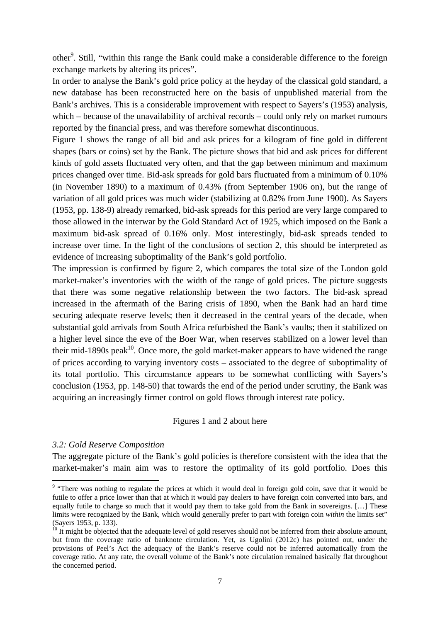other<sup>9</sup>. Still, "within this range the Bank could make a considerable difference to the foreign exchange markets by altering its prices".

In order to analyse the Bank's gold price policy at the heyday of the classical gold standard, a new database has been reconstructed here on the basis of unpublished material from the Bank's archives. This is a considerable improvement with respect to Sayers's (1953) analysis, which – because of the unavailability of archival records – could only rely on market rumours reported by the financial press, and was therefore somewhat discontinuous.

Figure 1 shows the range of all bid and ask prices for a kilogram of fine gold in different shapes (bars or coins) set by the Bank. The picture shows that bid and ask prices for different kinds of gold assets fluctuated very often, and that the gap between minimum and maximum prices changed over time. Bid-ask spreads for gold bars fluctuated from a minimum of 0.10% (in November 1890) to a maximum of 0.43% (from September 1906 on), but the range of variation of all gold prices was much wider (stabilizing at 0.82% from June 1900). As Sayers (1953, pp. 138-9) already remarked, bid-ask spreads for this period are very large compared to those allowed in the interwar by the Gold Standard Act of 1925, which imposed on the Bank a maximum bid-ask spread of 0.16% only. Most interestingly, bid-ask spreads tended to increase over time. In the light of the conclusions of section 2, this should be interpreted as evidence of increasing suboptimality of the Bank's gold portfolio.

The impression is confirmed by figure 2, which compares the total size of the London gold market-maker's inventories with the width of the range of gold prices. The picture suggests that there was some negative relationship between the two factors. The bid-ask spread increased in the aftermath of the Baring crisis of 1890, when the Bank had an hard time securing adequate reserve levels; then it decreased in the central years of the decade, when substantial gold arrivals from South Africa refurbished the Bank's vaults; then it stabilized on a higher level since the eve of the Boer War, when reserves stabilized on a lower level than their mid-1890s peak<sup>10</sup>. Once more, the gold market-maker appears to have widened the range of prices according to varying inventory costs – associated to the degree of suboptimality of its total portfolio. This circumstance appears to be somewhat conflicting with Sayers's conclusion (1953, pp. 148-50) that towards the end of the period under scrutiny, the Bank was acquiring an increasingly firmer control on gold flows through interest rate policy.

#### Figures 1 and 2 about here

#### *3.2: Gold Reserve Composition*

The aggregate picture of the Bank's gold policies is therefore consistent with the idea that the market-maker's main aim was to restore the optimality of its gold portfolio. Does this

There was nothing to regulate the prices at which it would deal in foreign gold coin, save that it would be futile to offer a price lower than that at which it would pay dealers to have foreign coin converted into bars, and equally futile to charge so much that it would pay them to take gold from the Bank in sovereigns. […] These limits were recognized by the Bank, which would generally prefer to part with foreign coin *within* the limits set" (Sayers 1953, p. 133).

 $10$  It might be objected that the adequate level of gold reserves should not be inferred from their absolute amount, but from the coverage ratio of banknote circulation. Yet, as Ugolini (2012c) has pointed out, under the provisions of Peel's Act the adequacy of the Bank's reserve could not be inferred automatically from the coverage ratio. At any rate, the overall volume of the Bank's note circulation remained basically flat throughout the concerned period.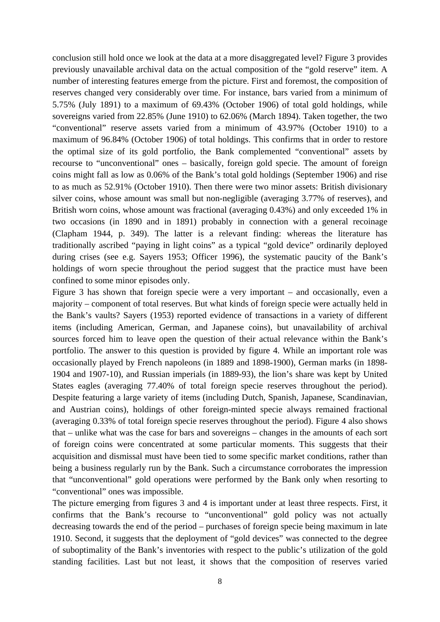conclusion still hold once we look at the data at a more disaggregated level? Figure 3 provides previously unavailable archival data on the actual composition of the "gold reserve" item. A number of interesting features emerge from the picture. First and foremost, the composition of reserves changed very considerably over time. For instance, bars varied from a minimum of 5.75% (July 1891) to a maximum of 69.43% (October 1906) of total gold holdings, while sovereigns varied from 22.85% (June 1910) to 62.06% (March 1894). Taken together, the two "conventional" reserve assets varied from a minimum of 43.97% (October 1910) to a maximum of 96.84% (October 1906) of total holdings. This confirms that in order to restore the optimal size of its gold portfolio, the Bank complemented "conventional" assets by recourse to "unconventional" ones – basically, foreign gold specie. The amount of foreign coins might fall as low as 0.06% of the Bank's total gold holdings (September 1906) and rise to as much as 52.91% (October 1910). Then there were two minor assets: British divisionary silver coins, whose amount was small but non-negligible (averaging 3.77% of reserves), and British worn coins, whose amount was fractional (averaging 0.43%) and only exceeded 1% in two occasions (in 1890 and in 1891) probably in connection with a general recoinage (Clapham 1944, p. 349). The latter is a relevant finding: whereas the literature has traditionally ascribed "paying in light coins" as a typical "gold device" ordinarily deployed during crises (see e.g. Sayers 1953; Officer 1996), the systematic paucity of the Bank's holdings of worn specie throughout the period suggest that the practice must have been confined to some minor episodes only.

Figure 3 has shown that foreign specie were a very important – and occasionally, even a majority – component of total reserves. But what kinds of foreign specie were actually held in the Bank's vaults? Sayers (1953) reported evidence of transactions in a variety of different items (including American, German, and Japanese coins), but unavailability of archival sources forced him to leave open the question of their actual relevance within the Bank's portfolio. The answer to this question is provided by figure 4. While an important role was occasionally played by French napoleons (in 1889 and 1898-1900), German marks (in 1898- 1904 and 1907-10), and Russian imperials (in 1889-93), the lion's share was kept by United States eagles (averaging 77.40% of total foreign specie reserves throughout the period). Despite featuring a large variety of items (including Dutch, Spanish, Japanese, Scandinavian, and Austrian coins), holdings of other foreign-minted specie always remained fractional (averaging 0.33% of total foreign specie reserves throughout the period). Figure 4 also shows that – unlike what was the case for bars and sovereigns – changes in the amounts of each sort of foreign coins were concentrated at some particular moments. This suggests that their acquisition and dismissal must have been tied to some specific market conditions, rather than being a business regularly run by the Bank. Such a circumstance corroborates the impression that "unconventional" gold operations were performed by the Bank only when resorting to "conventional" ones was impossible.

The picture emerging from figures 3 and 4 is important under at least three respects. First, it confirms that the Bank's recourse to "unconventional" gold policy was not actually decreasing towards the end of the period – purchases of foreign specie being maximum in late 1910. Second, it suggests that the deployment of "gold devices" was connected to the degree of suboptimality of the Bank's inventories with respect to the public's utilization of the gold standing facilities. Last but not least, it shows that the composition of reserves varied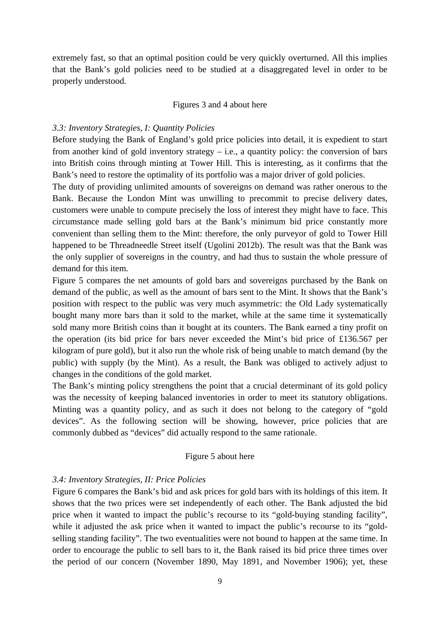extremely fast, so that an optimal position could be very quickly overturned. All this implies that the Bank's gold policies need to be studied at a disaggregated level in order to be properly understood.

#### Figures 3 and 4 about here

#### *3.3: Inventory Strategies, I: Quantity Policies*

Before studying the Bank of England's gold price policies into detail, it is expedient to start from another kind of gold inventory strategy – i.e., a quantity policy: the conversion of bars into British coins through minting at Tower Hill. This is interesting, as it confirms that the Bank's need to restore the optimality of its portfolio was a major driver of gold policies.

The duty of providing unlimited amounts of sovereigns on demand was rather onerous to the Bank. Because the London Mint was unwilling to precommit to precise delivery dates, customers were unable to compute precisely the loss of interest they might have to face. This circumstance made selling gold bars at the Bank's minimum bid price constantly more convenient than selling them to the Mint: therefore, the only purveyor of gold to Tower Hill happened to be Threadneedle Street itself (Ugolini 2012b). The result was that the Bank was the only supplier of sovereigns in the country, and had thus to sustain the whole pressure of demand for this item.

Figure 5 compares the net amounts of gold bars and sovereigns purchased by the Bank on demand of the public, as well as the amount of bars sent to the Mint. It shows that the Bank's position with respect to the public was very much asymmetric: the Old Lady systematically bought many more bars than it sold to the market, while at the same time it systematically sold many more British coins than it bought at its counters. The Bank earned a tiny profit on the operation (its bid price for bars never exceeded the Mint's bid price of £136.567 per kilogram of pure gold), but it also run the whole risk of being unable to match demand (by the public) with supply (by the Mint). As a result, the Bank was obliged to actively adjust to changes in the conditions of the gold market.

The Bank's minting policy strengthens the point that a crucial determinant of its gold policy was the necessity of keeping balanced inventories in order to meet its statutory obligations. Minting was a quantity policy, and as such it does not belong to the category of "gold devices". As the following section will be showing, however, price policies that are commonly dubbed as "devices" did actually respond to the same rationale.

#### Figure 5 about here

#### *3.4: Inventory Strategies, II: Price Policies*

Figure 6 compares the Bank's bid and ask prices for gold bars with its holdings of this item. It shows that the two prices were set independently of each other. The Bank adjusted the bid price when it wanted to impact the public's recourse to its "gold-buying standing facility", while it adjusted the ask price when it wanted to impact the public's recourse to its "goldselling standing facility". The two eventualities were not bound to happen at the same time. In order to encourage the public to sell bars to it, the Bank raised its bid price three times over the period of our concern (November 1890, May 1891, and November 1906); yet, these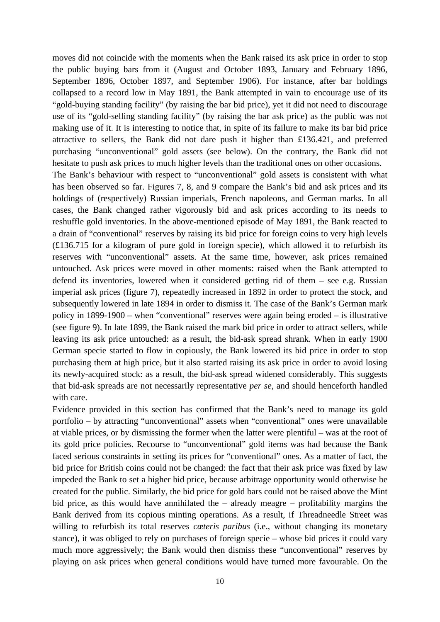moves did not coincide with the moments when the Bank raised its ask price in order to stop the public buying bars from it (August and October 1893, January and February 1896, September 1896, October 1897, and September 1906). For instance, after bar holdings collapsed to a record low in May 1891, the Bank attempted in vain to encourage use of its "gold-buying standing facility" (by raising the bar bid price), yet it did not need to discourage use of its "gold-selling standing facility" (by raising the bar ask price) as the public was not making use of it. It is interesting to notice that, in spite of its failure to make its bar bid price attractive to sellers, the Bank did not dare push it higher than £136.421, and preferred purchasing "unconventional" gold assets (see below). On the contrary, the Bank did not hesitate to push ask prices to much higher levels than the traditional ones on other occasions.

The Bank's behaviour with respect to "unconventional" gold assets is consistent with what has been observed so far. Figures 7, 8, and 9 compare the Bank's bid and ask prices and its holdings of (respectively) Russian imperials, French napoleons, and German marks. In all cases, the Bank changed rather vigorously bid and ask prices according to its needs to reshuffle gold inventories. In the above-mentioned episode of May 1891, the Bank reacted to a drain of "conventional" reserves by raising its bid price for foreign coins to very high levels (£136.715 for a kilogram of pure gold in foreign specie), which allowed it to refurbish its reserves with "unconventional" assets. At the same time, however, ask prices remained untouched. Ask prices were moved in other moments: raised when the Bank attempted to defend its inventories, lowered when it considered getting rid of them – see e.g. Russian imperial ask prices (figure 7), repeatedly increased in 1892 in order to protect the stock, and subsequently lowered in late 1894 in order to dismiss it. The case of the Bank's German mark policy in 1899-1900 – when "conventional" reserves were again being eroded – is illustrative (see figure 9). In late 1899, the Bank raised the mark bid price in order to attract sellers, while leaving its ask price untouched: as a result, the bid-ask spread shrank. When in early 1900 German specie started to flow in copiously, the Bank lowered its bid price in order to stop purchasing them at high price, but it also started raising its ask price in order to avoid losing its newly-acquired stock: as a result, the bid-ask spread widened considerably. This suggests that bid-ask spreads are not necessarily representative *per se*, and should henceforth handled with care.

Evidence provided in this section has confirmed that the Bank's need to manage its gold portfolio – by attracting "unconventional" assets when "conventional" ones were unavailable at viable prices, or by dismissing the former when the latter were plentiful – was at the root of its gold price policies. Recourse to "unconventional" gold items was had because the Bank faced serious constraints in setting its prices for "conventional" ones. As a matter of fact, the bid price for British coins could not be changed: the fact that their ask price was fixed by law impeded the Bank to set a higher bid price, because arbitrage opportunity would otherwise be created for the public. Similarly, the bid price for gold bars could not be raised above the Mint bid price, as this would have annihilated the – already meagre – profitability margins the Bank derived from its copious minting operations. As a result, if Threadneedle Street was willing to refurbish its total reserves *cœteris paribus* (i.e., without changing its monetary stance), it was obliged to rely on purchases of foreign specie – whose bid prices it could vary much more aggressively; the Bank would then dismiss these "unconventional" reserves by playing on ask prices when general conditions would have turned more favourable. On the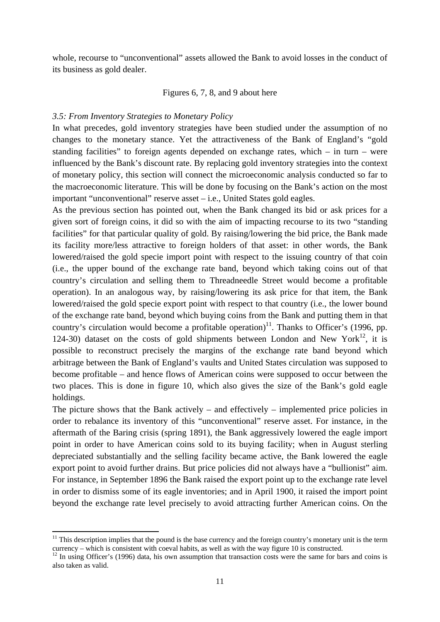whole, recourse to "unconventional" assets allowed the Bank to avoid losses in the conduct of its business as gold dealer.

#### Figures 6, 7, 8, and 9 about here

#### *3.5: From Inventory Strategies to Monetary Policy*

In what precedes, gold inventory strategies have been studied under the assumption of no changes to the monetary stance. Yet the attractiveness of the Bank of England's "gold standing facilities" to foreign agents depended on exchange rates, which – in turn – were influenced by the Bank's discount rate. By replacing gold inventory strategies into the context of monetary policy, this section will connect the microeconomic analysis conducted so far to the macroeconomic literature. This will be done by focusing on the Bank's action on the most important "unconventional" reserve asset – i.e., United States gold eagles.

As the previous section has pointed out, when the Bank changed its bid or ask prices for a given sort of foreign coins, it did so with the aim of impacting recourse to its two "standing facilities" for that particular quality of gold. By raising/lowering the bid price, the Bank made its facility more/less attractive to foreign holders of that asset: in other words, the Bank lowered/raised the gold specie import point with respect to the issuing country of that coin (i.e., the upper bound of the exchange rate band, beyond which taking coins out of that country's circulation and selling them to Threadneedle Street would become a profitable operation). In an analogous way, by raising/lowering its ask price for that item, the Bank lowered/raised the gold specie export point with respect to that country (i.e., the lower bound of the exchange rate band, beyond which buying coins from the Bank and putting them in that country's circulation would become a profitable operation)<sup>11</sup>. Thanks to Officer's (1996, pp. 124-30) dataset on the costs of gold shipments between London and New York<sup>12</sup>, it is possible to reconstruct precisely the margins of the exchange rate band beyond which arbitrage between the Bank of England's vaults and United States circulation was supposed to become profitable – and hence flows of American coins were supposed to occur between the two places. This is done in figure 10, which also gives the size of the Bank's gold eagle holdings.

The picture shows that the Bank actively – and effectively – implemented price policies in order to rebalance its inventory of this "unconventional" reserve asset. For instance, in the aftermath of the Baring crisis (spring 1891), the Bank aggressively lowered the eagle import point in order to have American coins sold to its buying facility; when in August sterling depreciated substantially and the selling facility became active, the Bank lowered the eagle export point to avoid further drains. But price policies did not always have a "bullionist" aim. For instance, in September 1896 the Bank raised the export point up to the exchange rate level in order to dismiss some of its eagle inventories; and in April 1900, it raised the import point beyond the exchange rate level precisely to avoid attracting further American coins. On the

 $11$  This description implies that the pound is the base currency and the foreign country's monetary unit is the term currency – which is consistent with coeval habits, as well as with the way figure 10 is constructed. 12 In using Officer's (1996) data, his own assumption that transaction costs were the same for bars and coins is

also taken as valid.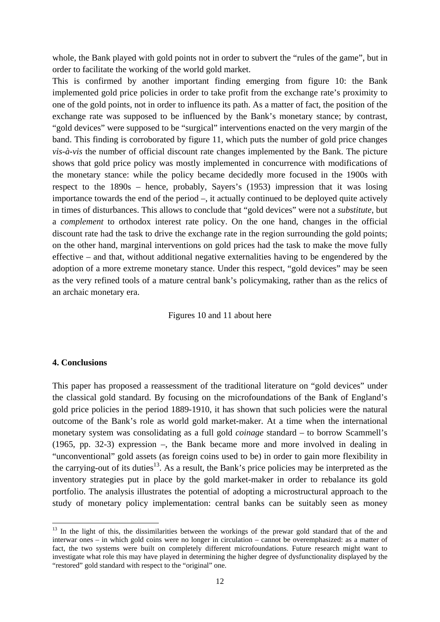whole, the Bank played with gold points not in order to subvert the "rules of the game", but in order to facilitate the working of the world gold market.

This is confirmed by another important finding emerging from figure 10: the Bank implemented gold price policies in order to take profit from the exchange rate's proximity to one of the gold points, not in order to influence its path. As a matter of fact, the position of the exchange rate was supposed to be influenced by the Bank's monetary stance; by contrast, "gold devices" were supposed to be "surgical" interventions enacted on the very margin of the band. This finding is corroborated by figure 11, which puts the number of gold price changes *vis-à-vis* the number of official discount rate changes implemented by the Bank. The picture shows that gold price policy was mostly implemented in concurrence with modifications of the monetary stance: while the policy became decidedly more focused in the 1900s with respect to the 1890s – hence, probably, Sayers's (1953) impression that it was losing importance towards the end of the period –, it actually continued to be deployed quite actively in times of disturbances. This allows to conclude that "gold devices" were not a *substitute*, but a *complement* to orthodox interest rate policy. On the one hand, changes in the official discount rate had the task to drive the exchange rate in the region surrounding the gold points; on the other hand, marginal interventions on gold prices had the task to make the move fully effective – and that, without additional negative externalities having to be engendered by the adoption of a more extreme monetary stance. Under this respect, "gold devices" may be seen as the very refined tools of a mature central bank's policymaking, rather than as the relics of an archaic monetary era.

Figures 10 and 11 about here

#### **4. Conclusions**

This paper has proposed a reassessment of the traditional literature on "gold devices" under the classical gold standard. By focusing on the microfoundations of the Bank of England's gold price policies in the period 1889-1910, it has shown that such policies were the natural outcome of the Bank's role as world gold market-maker. At a time when the international monetary system was consolidating as a full gold *coinage* standard – to borrow Scammell's (1965, pp. 32-3) expression –, the Bank became more and more involved in dealing in "unconventional" gold assets (as foreign coins used to be) in order to gain more flexibility in the carrying-out of its duties<sup>13</sup>. As a result, the Bank's price policies may be interpreted as the inventory strategies put in place by the gold market-maker in order to rebalance its gold portfolio. The analysis illustrates the potential of adopting a microstructural approach to the study of monetary policy implementation: central banks can be suitably seen as money

<sup>&</sup>lt;sup>13</sup> In the light of this, the dissimilarities between the workings of the prewar gold standard that of the and interwar ones – in which gold coins were no longer in circulation – cannot be overemphasized: as a matter of fact, the two systems were built on completely different microfoundations. Future research might want to investigate what role this may have played in determining the higher degree of dysfunctionality displayed by the "restored" gold standard with respect to the "original" one.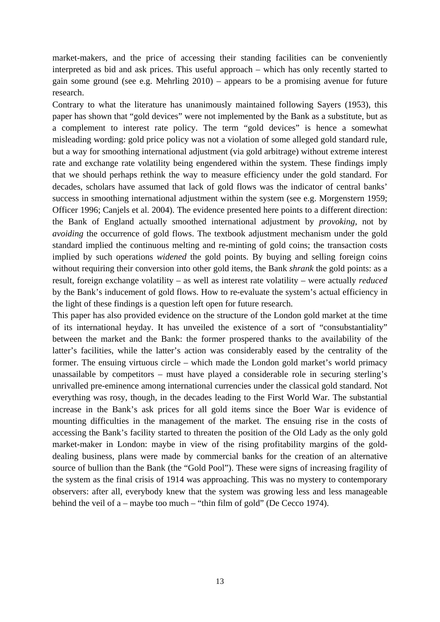market-makers, and the price of accessing their standing facilities can be conveniently interpreted as bid and ask prices. This useful approach – which has only recently started to gain some ground (see e.g. Mehrling 2010) – appears to be a promising avenue for future research.

Contrary to what the literature has unanimously maintained following Sayers (1953), this paper has shown that "gold devices" were not implemented by the Bank as a substitute, but as a complement to interest rate policy. The term "gold devices" is hence a somewhat misleading wording: gold price policy was not a violation of some alleged gold standard rule, but a way for smoothing international adjustment (via gold arbitrage) without extreme interest rate and exchange rate volatility being engendered within the system. These findings imply that we should perhaps rethink the way to measure efficiency under the gold standard. For decades, scholars have assumed that lack of gold flows was the indicator of central banks' success in smoothing international adjustment within the system (see e.g. Morgenstern 1959; Officer 1996; Canjels et al. 2004). The evidence presented here points to a different direction: the Bank of England actually smoothed international adjustment by *provoking*, not by *avoiding* the occurrence of gold flows. The textbook adjustment mechanism under the gold standard implied the continuous melting and re-minting of gold coins; the transaction costs implied by such operations *widened* the gold points. By buying and selling foreign coins without requiring their conversion into other gold items, the Bank *shrank* the gold points: as a result, foreign exchange volatility – as well as interest rate volatility – were actually *reduced* by the Bank's inducement of gold flows. How to re-evaluate the system's actual efficiency in the light of these findings is a question left open for future research.

This paper has also provided evidence on the structure of the London gold market at the time of its international heyday. It has unveiled the existence of a sort of "consubstantiality" between the market and the Bank: the former prospered thanks to the availability of the latter's facilities, while the latter's action was considerably eased by the centrality of the former. The ensuing virtuous circle – which made the London gold market's world primacy unassailable by competitors – must have played a considerable role in securing sterling's unrivalled pre-eminence among international currencies under the classical gold standard. Not everything was rosy, though, in the decades leading to the First World War. The substantial increase in the Bank's ask prices for all gold items since the Boer War is evidence of mounting difficulties in the management of the market. The ensuing rise in the costs of accessing the Bank's facility started to threaten the position of the Old Lady as the only gold market-maker in London: maybe in view of the rising profitability margins of the golddealing business, plans were made by commercial banks for the creation of an alternative source of bullion than the Bank (the "Gold Pool"). These were signs of increasing fragility of the system as the final crisis of 1914 was approaching. This was no mystery to contemporary observers: after all, everybody knew that the system was growing less and less manageable behind the veil of a – maybe too much – "thin film of gold" (De Cecco 1974).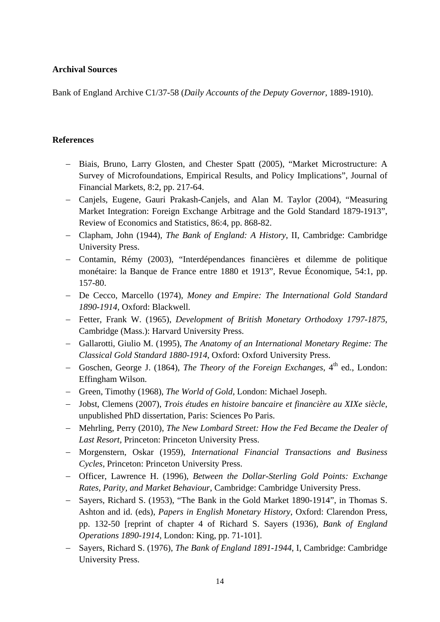#### **Archival Sources**

Bank of England Archive C1/37-58 (*Daily Accounts of the Deputy Governor*, 1889-1910).

#### **References**

- Biais, Bruno, Larry Glosten, and Chester Spatt (2005), "Market Microstructure: A Survey of Microfoundations, Empirical Results, and Policy Implications", Journal of Financial Markets, 8:2, pp. 217-64.
- Canjels, Eugene, Gauri Prakash-Canjels, and Alan M. Taylor (2004), "Measuring Market Integration: Foreign Exchange Arbitrage and the Gold Standard 1879-1913", Review of Economics and Statistics, 86:4, pp. 868-82.
- Clapham, John (1944), *The Bank of England: A History*, II, Cambridge: Cambridge University Press.
- Contamin, Rémy (2003), "Interdépendances financières et dilemme de politique monétaire: la Banque de France entre 1880 et 1913", Revue Économique, 54:1, pp. 157-80.
- De Cecco, Marcello (1974), *Money and Empire: The International Gold Standard 1890-1914*, Oxford: Blackwell.
- Fetter, Frank W. (1965), *Development of British Monetary Orthodoxy 1797-1875*, Cambridge (Mass.): Harvard University Press.
- Gallarotti, Giulio M. (1995), *The Anatomy of an International Monetary Regime: The Classical Gold Standard 1880-1914*, Oxford: Oxford University Press.
- Goschen, George J. (1864), *The Theory of the Foreign Exchanges*, 4<sup>th</sup> ed., London: Effingham Wilson.
- Green, Timothy (1968), *The World of Gold*, London: Michael Joseph.
- Jobst, Clemens (2007), *Trois études en histoire bancaire et financière au XIXe siècle*, unpublished PhD dissertation, Paris: Sciences Po Paris.
- Mehrling, Perry (2010), *The New Lombard Street: How the Fed Became the Dealer of Last Resort*, Princeton: Princeton University Press.
- Morgenstern, Oskar (1959), *International Financial Transactions and Business Cycles*, Princeton: Princeton University Press.
- Officer, Lawrence H. (1996), *Between the Dollar-Sterling Gold Points: Exchange Rates, Parity, and Market Behaviour*, Cambridge: Cambridge University Press.
- Sayers, Richard S. (1953), "The Bank in the Gold Market 1890-1914", in Thomas S. Ashton and id. (eds), *Papers in English Monetary History*, Oxford: Clarendon Press, pp. 132-50 [reprint of chapter 4 of Richard S. Sayers (1936), *Bank of England Operations 1890-1914*, London: King, pp. 71-101].
- Sayers, Richard S. (1976), *The Bank of England 1891-1944*, I, Cambridge: Cambridge University Press.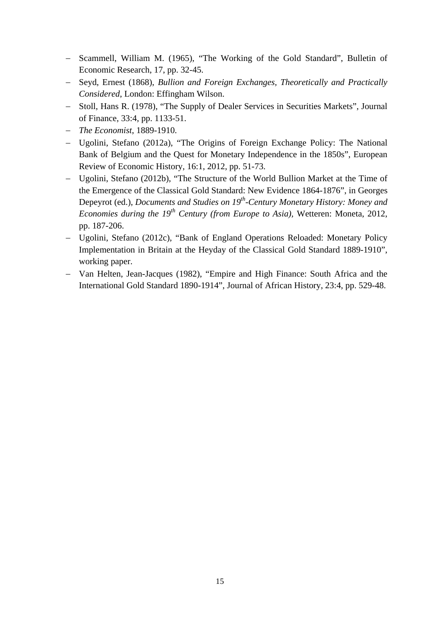- Scammell, William M. (1965), "The Working of the Gold Standard", Bulletin of Economic Research, 17, pp. 32-45.
- Seyd, Ernest (1868), *Bullion and Foreign Exchanges, Theoretically and Practically Considered*, London: Effingham Wilson.
- Stoll, Hans R. (1978), "The Supply of Dealer Services in Securities Markets", Journal of Finance, 33:4, pp. 1133-51.
- *The Economist*, 1889-1910.
- Ugolini, Stefano (2012a), "The Origins of Foreign Exchange Policy: The National Bank of Belgium and the Quest for Monetary Independence in the 1850s", European Review of Economic History, 16:1, 2012, pp. 51-73.
- Ugolini, Stefano (2012b), "The Structure of the World Bullion Market at the Time of the Emergence of the Classical Gold Standard: New Evidence 1864-1876", in Georges Depeyrot (ed.), *Documents and Studies on 19th-Century Monetary History: Money and Economies during the 19th Century (from Europe to Asia),* Wetteren: Moneta, 2012, pp. 187-206.
- Ugolini, Stefano (2012c), "Bank of England Operations Reloaded: Monetary Policy Implementation in Britain at the Heyday of the Classical Gold Standard 1889-1910", working paper.
- Van Helten, Jean-Jacques (1982), "Empire and High Finance: South Africa and the International Gold Standard 1890-1914", Journal of African History, 23:4, pp. 529-48.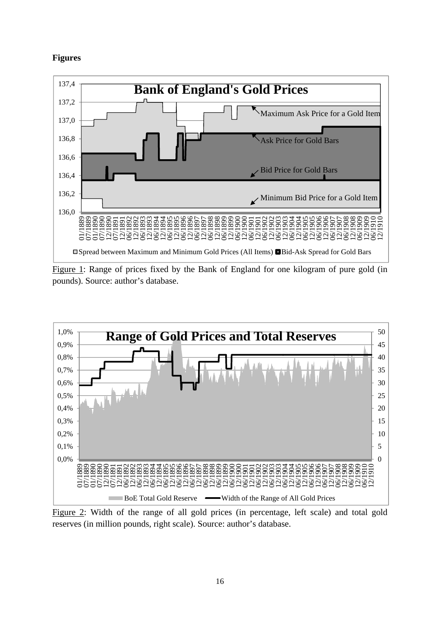#### **Figures**



Figure 1: Range of prices fixed by the Bank of England for one kilogram of pure gold (in pounds). Source: author's database.



Figure 2: Width of the range of all gold prices (in percentage, left scale) and total gold reserves (in million pounds, right scale). Source: author's database.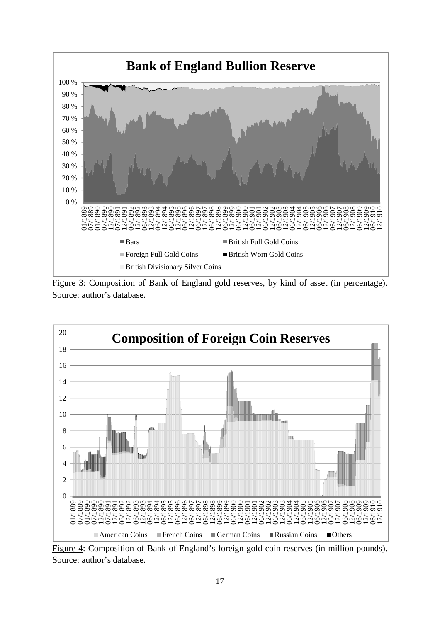

Figure 3: Composition of Bank of England gold reserves, by kind of asset (in percentage). Source: author's database.



Figure 4: Composition of Bank of England's foreign gold coin reserves (in million pounds). Source: author's database.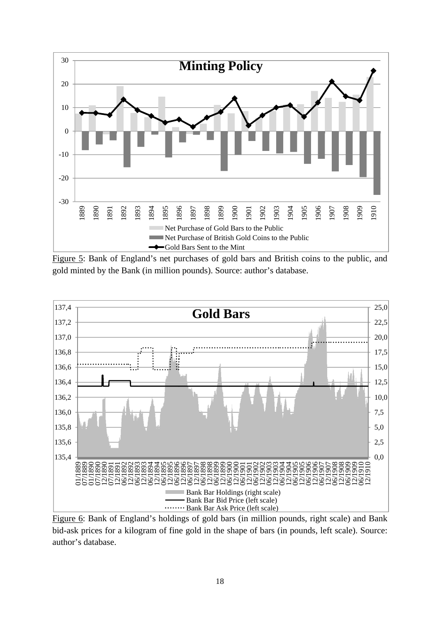

Figure 5: Bank of England's net purchases of gold bars and British coins to the public, and gold minted by the Bank (in million pounds). Source: author's database.



Figure 6: Bank of England's holdings of gold bars (in million pounds, right scale) and Bank bid-ask prices for a kilogram of fine gold in the shape of bars (in pounds, left scale). Source: author's database.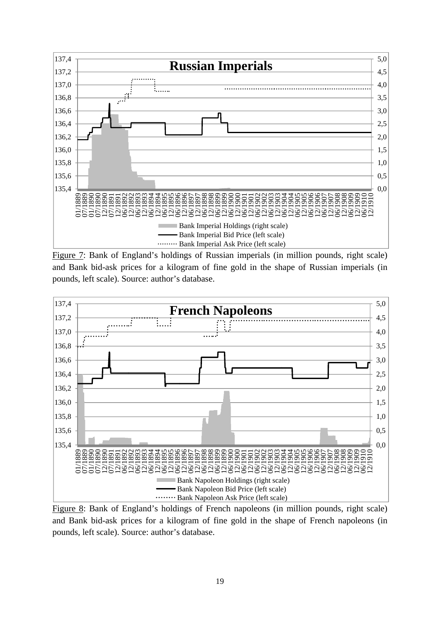

Figure 7: Bank of England's holdings of Russian imperials (in million pounds, right scale) and Bank bid-ask prices for a kilogram of fine gold in the shape of Russian imperials (in pounds, left scale). Source: author's database.



Figure 8: Bank of England's holdings of French napoleons (in million pounds, right scale) and Bank bid-ask prices for a kilogram of fine gold in the shape of French napoleons (in pounds, left scale). Source: author's database.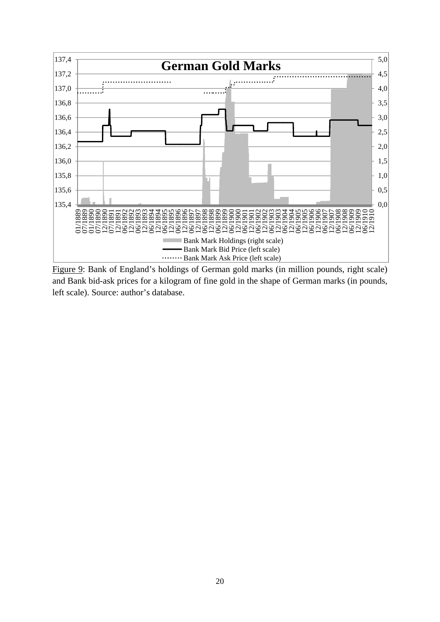

Figure 9: Bank of England's holdings of German gold marks (in million pounds, right scale) and Bank bid-ask prices for a kilogram of fine gold in the shape of German marks (in pounds, left scale). Source: author's database.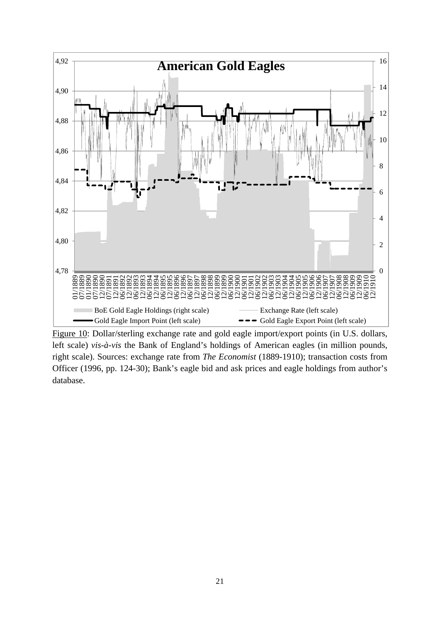

Figure 10: Dollar/sterling exchange rate and gold eagle import/export points (in U.S. dollars, left scale) *vis-à-vis* the Bank of England's holdings of American eagles (in million pounds, right scale). Sources: exchange rate from *The Economist* (1889-1910); transaction costs from Officer (1996, pp. 124-30); Bank's eagle bid and ask prices and eagle holdings from author's database.